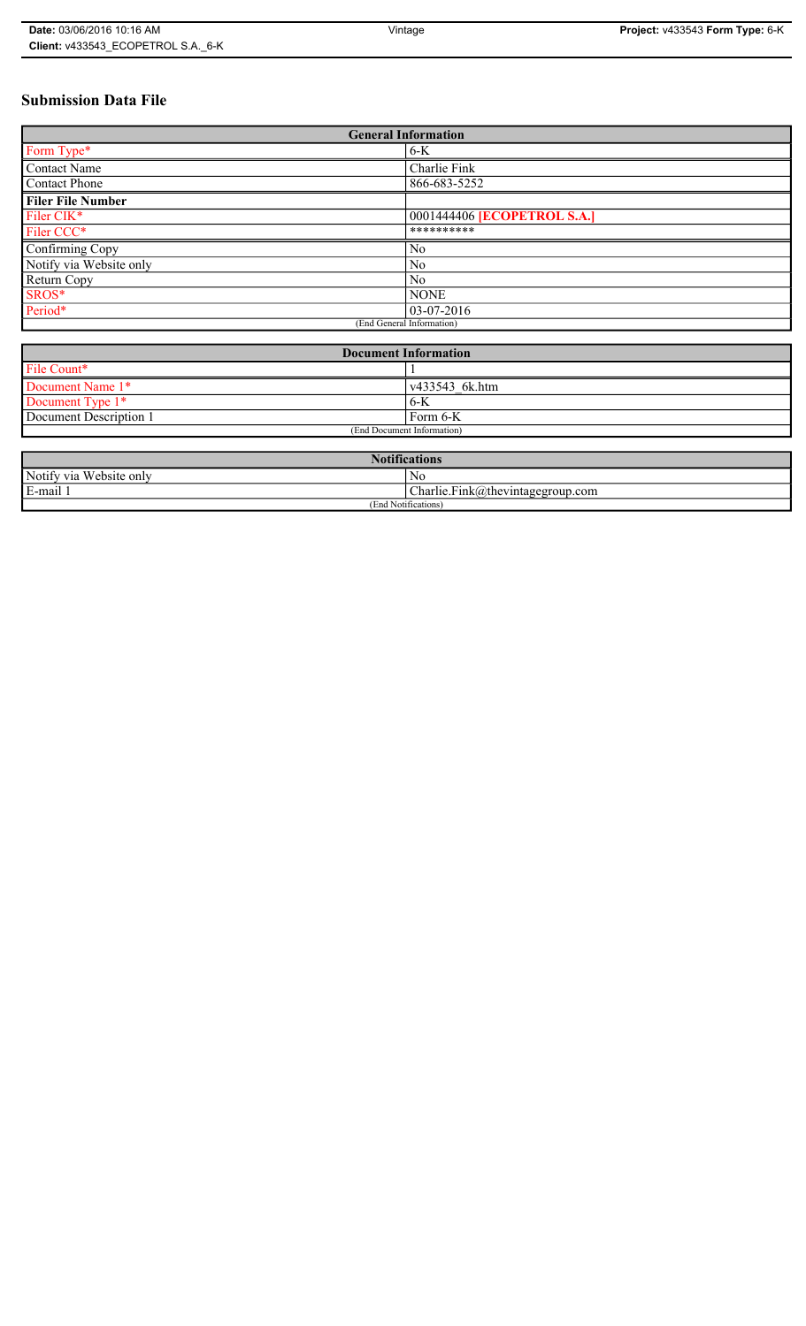# **Submission Data File**

| <b>General Information</b> |                             |
|----------------------------|-----------------------------|
| Form Type*                 | $6-K$                       |
| Contact Name               | Charlie Fink                |
| <b>Contact Phone</b>       | 866-683-5252                |
| <b>Filer File Number</b>   |                             |
| Filer CIK*                 | 0001444406 [ECOPETROL S.A.] |
| Filer CCC*                 | **********                  |
| Confirming Copy            | N <sub>0</sub>              |
| Notify via Website only    | N <sub>0</sub>              |
| Return Copy                | N <sub>0</sub>              |
| SROS*                      | <b>NONE</b>                 |
| Period*                    | 03-07-2016                  |
| (End General Information)  |                             |

| <b>Document Information</b> |                        |
|-----------------------------|------------------------|
| File Count*                 |                        |
| Document Name 1*            | $\sqrt{433543}$ 6k.htm |
| Document Type 1*            | 6-K                    |
| Document Description 1      | Form 6-K               |
| (End Document Information)  |                        |

| <b>Notifications</b>         |                                           |
|------------------------------|-------------------------------------------|
| Notify via<br>u Website only | N <sub>0</sub>                            |
| E-mail 1<br>$\blacksquare$   | $\vert$ Charlie. Fink@thevintagegroup.com |
| (End Notifications)          |                                           |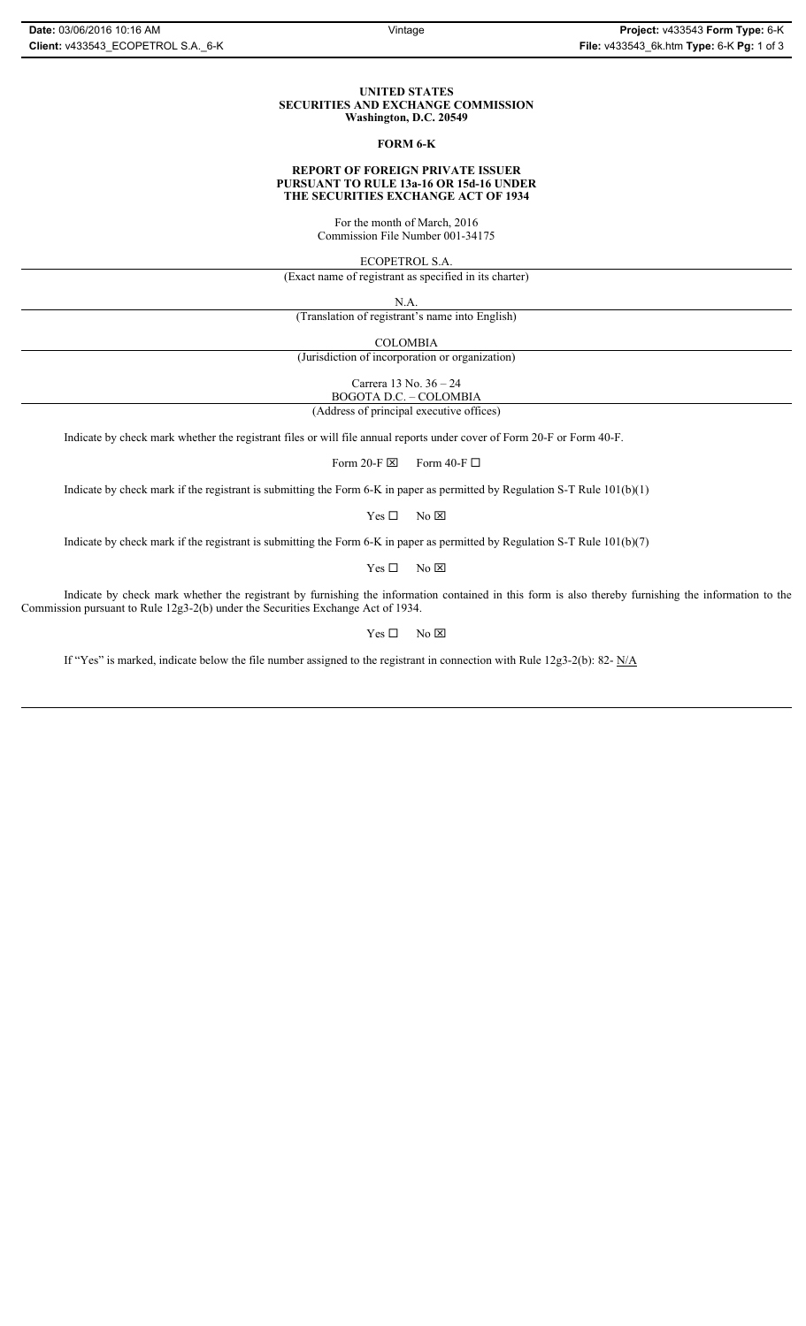## **UNITED STATES SECURITIES AND EXCHANGE COMMISSION Washington, D.C. 20549**

## **FORM 6-K**

## **REPORT OF FOREIGN PRIVATE ISSUER PURSUANT TO RULE 13a-16 OR 15d-16 UNDER THE SECURITIES EXCHANGE ACT OF 1934**

For the month of March, 2016 Commission File Number 001-34175

ECOPETROL S.A.

(Exact name of registrant as specified in its charter)

N.A.

(Translation of registrant's name into English)

COLOMBIA

(Jurisdiction of incorporation or organization)

Carrera 13 No. 36 – 24

BOGOTA D.C. – COLOMBIA (Address of principal executive offices)

Indicate by check mark whether the registrant files or will file annual reports under cover of Form 20-F or Form 40-F.

Form 20-F  $\boxtimes$  Form 40-F  $\Box$ 

Indicate by check mark if the registrant is submitting the Form 6-K in paper as permitted by Regulation S-T Rule 101(b)(1)

 $Yes \Box$  No  $\boxtimes$ 

Indicate by check mark if the registrant is submitting the Form 6-K in paper as permitted by Regulation S-T Rule 101(b)(7)

 $Yes \Box$  No  $\boxtimes$ 

Indicate by check mark whether the registrant by furnishing the information contained in this form is also thereby furnishing the information to the Commission pursuant to Rule 12g3-2(b) under the Securities Exchange Act of 1934.

 $Yes \Box$  No  $\boxtimes$ 

If "Yes" is marked, indicate below the file number assigned to the registrant in connection with Rule 12g3-2(b): 82- N/A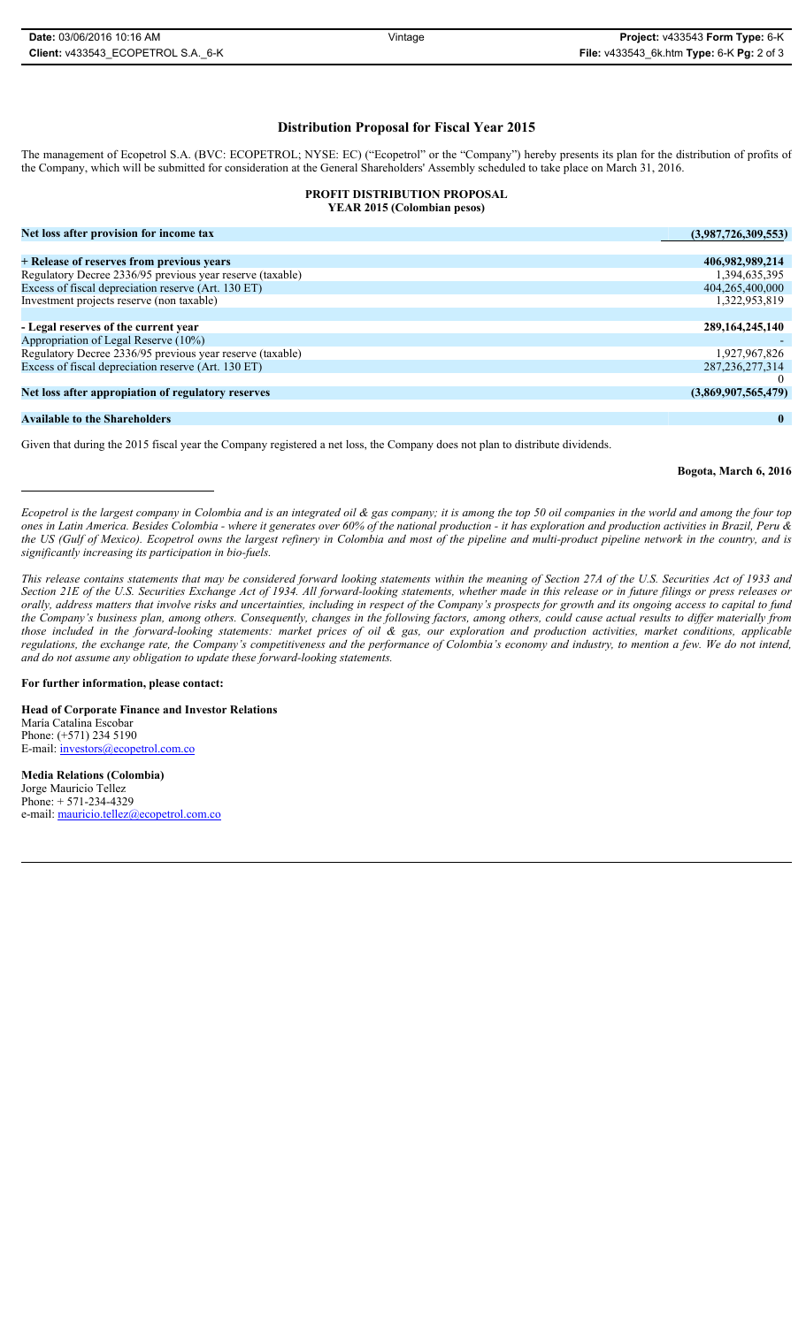**Distribution Proposal for Fiscal Year 2015**

The management of Ecopetrol S.A. (BVC: ECOPETROL; NYSE: EC) ("Ecopetrol" or the "Company") hereby presents its plan for the distribution of profits of the Company, which will be submitted for consideration at the General Shareholders' Assembly scheduled to take place on March 31, 2016.

## **PROFIT DISTRIBUTION PROPOSAL YEAR 2015 (Colombian pesos) Net loss after provision for income tax (3,987,726,309,553) + Release of reserves from previous years 406,982,989,214** Regulatory Decree 2336/95 previous year reserve (taxable) 1,394,635,395<br>Excess of fiscal depreciation reserve (Art. 130 ET) 1,394,635,395 Excess of fiscal depreciation reserve (Art. 130 ET) 404,265,400,000<br>
Investment projects reserve (non taxable) 4.322,953,819 Investment projects reserve (non taxable) **- Legal reserves of the current year 289,164,245,140** external of Legal Reserve (10%)<br>Regulatory Decree 2336/95 previous vear reserve (taxable) 4.6 and 200 and 200 and 200 and 200 and 200 and 200<br>Regulatory Decree 2336/95 previous vear reserve (taxable) Regulatory Decree 2336/95 previous year reserve (taxable) 1,927,967,826<br>Excess of fiscal depreciation reserve (Art. 130 ET) 287,236,277,314 Excess of fiscal depreciation reserve (Art. 130 ET)

**Net loss after appropiation of regulatory reserves (3,869,907,565,479)**

## **Available to the Shareholders 0**

Given that during the 2015 fiscal year the Company registered a net loss, the Company does not plan to distribute dividends.

**Bogota, March 6, 2016**

*Ecopetrol is the largest company in Colombia and is an integrated oil & gas company; it is among the top 50 oil companies in the world and among the four top ones in Latin America. Besides Colombia - where it generates over 60% of the national production - it has exploration and production activities in Brazil, Peru & the US (Gulf of Mexico). Ecopetrol owns the largest refinery in Colombia and most of the pipeline and multi-product pipeline network in the country, and is significantly increasing its participation in bio-fuels.*

*This release contains statements that may be considered forward looking statements within the meaning of Section 27A of the U.S. Securities Act of 1933 and Section 21E of the U.S. Securities Exchange Act of 1934. All forward-looking statements, whether made in this release or in future filings or press releases or orally, address matters that involve risks and uncertainties, including in respect of the Company's prospects for growth and its ongoing access to capital to fund the Company's business plan, among others. Consequently, changes in the following factors, among others, could cause actual results to differ materially from those included in the forward-looking statements: market prices of oil & gas, our exploration and production activities, market conditions, applicable regulations, the exchange rate, the Company's competitiveness and the performance of Colombia's economy and industry, to mention a few. We do not intend, and do not assume any obligation to update these forward-looking statements.*

## **For further information, please contact:**

**Head of Corporate Finance and Investor Relations** María Catalina Escobar Phone: (+571) 234 5190 E-mail: investors@ecopetrol.com.co

**Media Relations (Colombia)**  Jorge Mauricio Tellez Phone: + 571-234-4329 e-mail: mauricio.tellez@ecopetrol.com.co

0